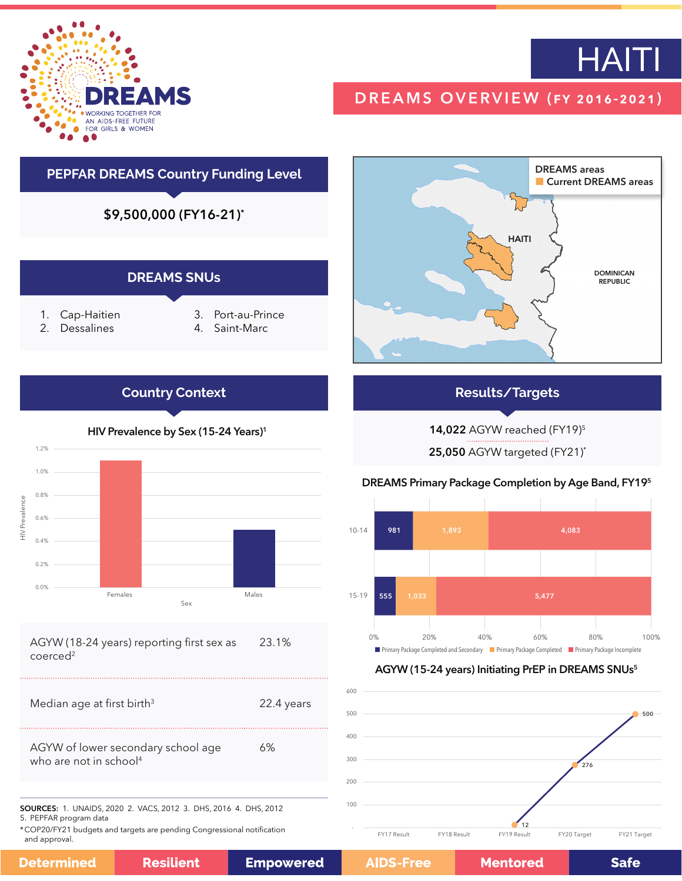



# DREAMS OVERVIEW (fy 2016-2021)

# **PEPFAR DREAMS Country Funding Level**

\$9,500,000 (FY16-21)\*

### **DREAMS SNUs**

- 1. Cap-Haitien
- 2. Dessalines
- 3. Port-au-Prince
- 4. Saint-Marc



## **Results/Targets**

14,022 AGYW reached (FY19)5

25,050 AGYW targeted (FY21)\*





#### AGYW (15-24 years) Initiating PrEP in DREAMS SNUs5



\*COP20/FY21 budgets and targets are pending Congressional notification

| 500 |             |             |                   |             | 500         |
|-----|-------------|-------------|-------------------|-------------|-------------|
| 400 |             |             |                   |             |             |
| 300 |             |             |                   | 276         |             |
| 200 |             |             |                   |             |             |
| 100 |             |             |                   |             |             |
|     | FY17 Result | FY18 Result | 12<br>FY19 Result | FY20 Target | FY21 Target |

# HIV Prevalence by Sex (15-24 Years)<sup>1</sup>

**Country Context**



#### AGYW (18-24 years) reporting first sex as coerced<sup>2</sup> 23.1%

5. PEPFAR program data

and approval.

**Determine** 

| эđ | <b>Resilient</b> | <b>Empowered</b> |
|----|------------------|------------------|
|----|------------------|------------------|

600

**Mentored** 

**Safe**